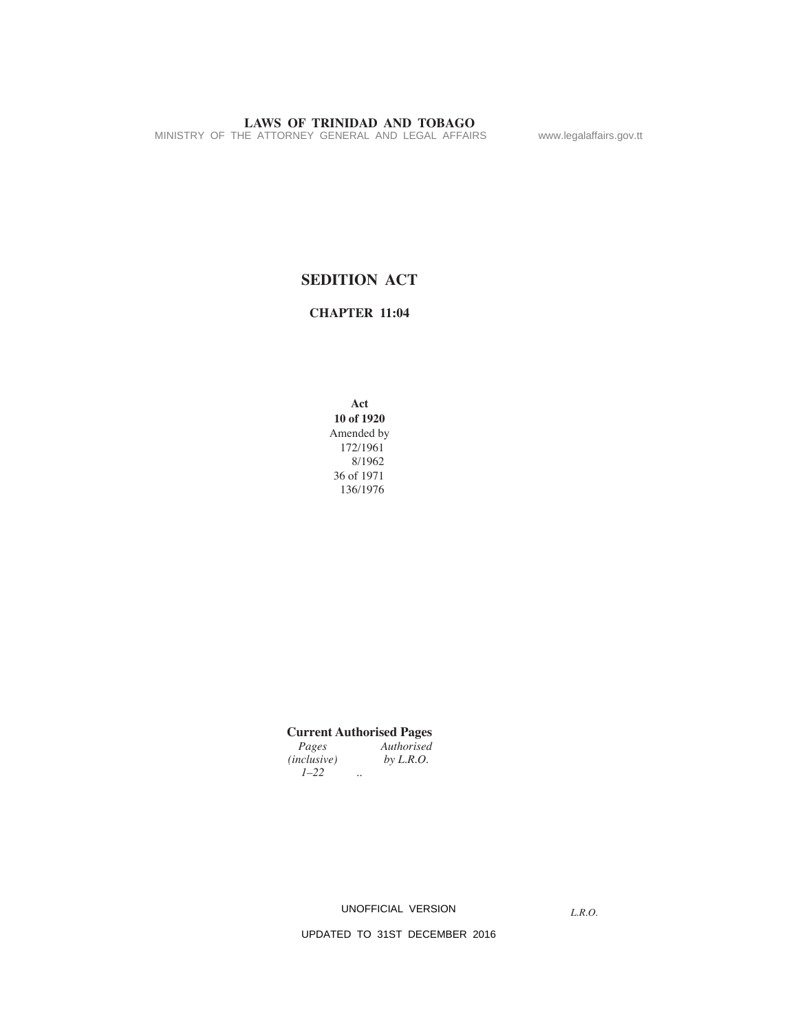MINISTRY OF THE ATTORNEY GENERAL AND LEGAL AFFAIRS www.legalaffairs.gov.tt

# **SEDITION ACT**

**CHAPTER 11:04**

**Act 10 of 1920** Amended by 172/1961 8/1962 36 of 1971 136/1976

# **Current Authorised Pages**

| Pages              | Authorised |
|--------------------|------------|
| <i>(inclusive)</i> | by L.R.O.  |
| $1 - 22$           |            |

UNOFFICIAL VERSION

*L.R.O.*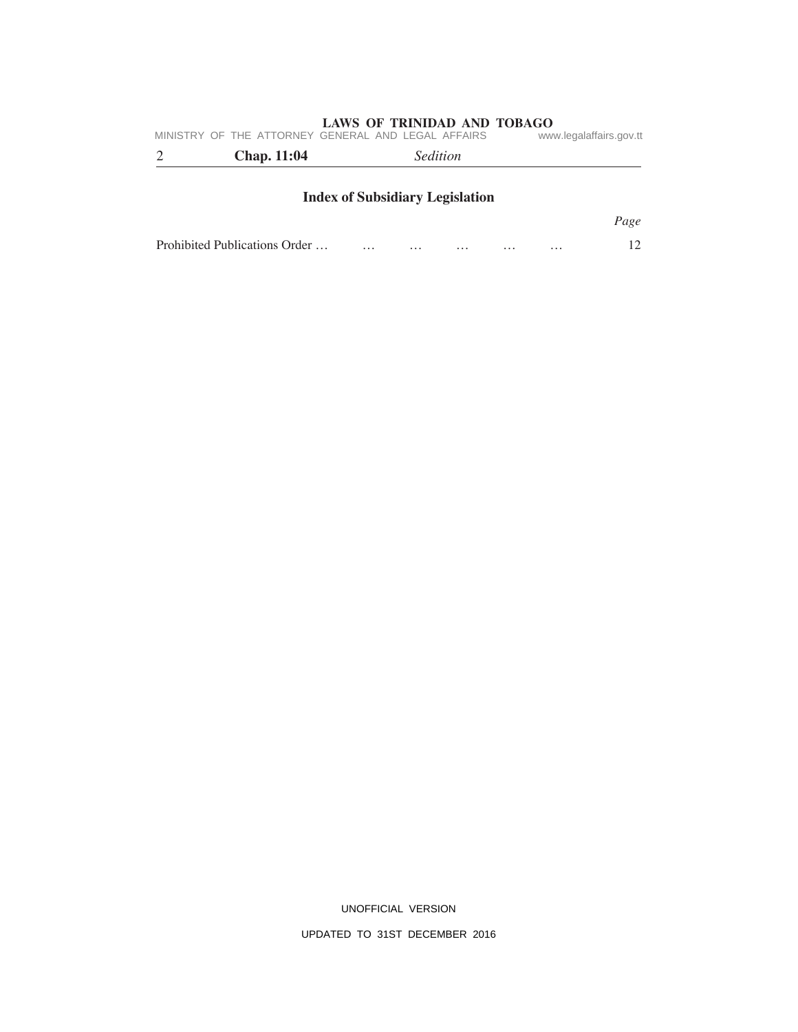| MINISTRY OF THE ATTORNEY GENERAL AND LEGAL AFFAIRS<br><b>Chap.</b> 11:04 | <i>Sedition</i>                        | www.legalaffairs.gov.tt |
|--------------------------------------------------------------------------|----------------------------------------|-------------------------|
|                                                                          | <b>Index of Subsidiary Legislation</b> |                         |
|                                                                          |                                        | Page                    |

Prohibited Publications Order … … … … … … … … 12

UNOFFICIAL VERSION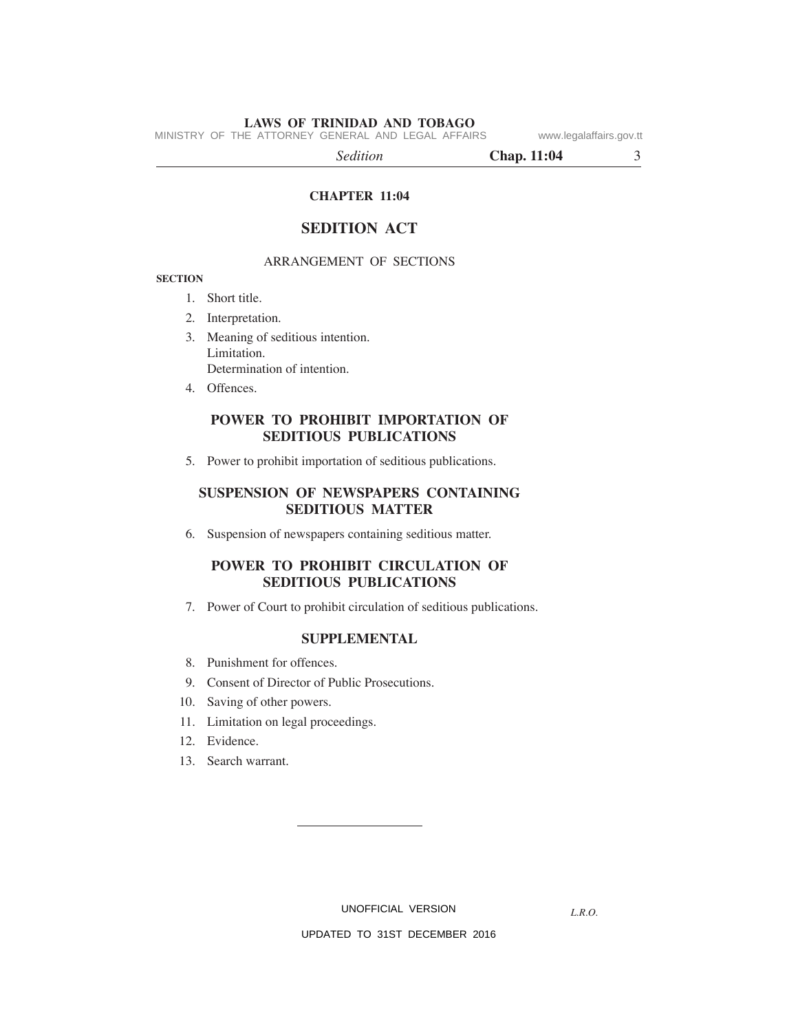MINISTRY OF THE ATTORNEY GENERAL AND LEGAL AFFAIRS www.legalaffairs.gov.tt

*Sedition* **Chap. 11:04** 3

**CHAPTER 11:04**

## **SEDITION ACT**

## ARRANGEMENT OF SECTIONS

## **SECTION**

- 1. Short title.
- 2. Interpretation.
- 3. Meaning of seditious intention. Limitation. Determination of intention.
- 4. Offences.

# **POWER TO PROHIBIT IMPORTATION OF SEDITIOUS PUBLICATIONS**

5. Power to prohibit importation of seditious publications.

## **SUSPENSION OF NEWSPAPERS CONTAINING SEDITIOUS MATTER**

6. Suspension of newspapers containing seditious matter.

## **POWER TO PROHIBIT CIRCULATION OF SEDITIOUS PUBLICATIONS**

7. Power of Court to prohibit circulation of seditious publications.

## **SUPPLEMENTAL**

- 8. Punishment for offences.
- 9. Consent of Director of Public Prosecutions.
- 10. Saving of other powers.
- 11. Limitation on legal proceedings.
- 12. Evidence.
- 13. Search warrant.

UNOFFICIAL VERSION

*L.R.O.*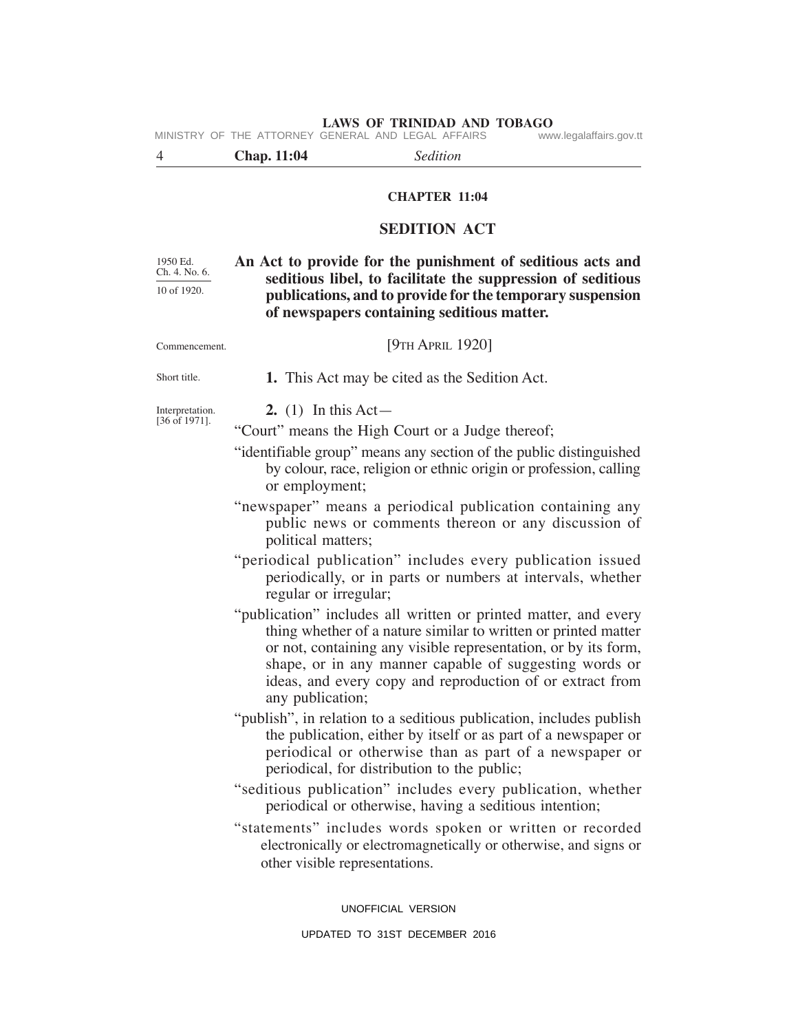# **LAWS OF TRINIDAD AND TOBAGO**<br>GENERAL AND LEGAL AFFAIRS www.legalaffairs.gov.tt 4 **Chap. 11:04** *Sedition* **CHAPTER 11:04 SEDITION ACT An Act to provide for the punishment of seditious acts and seditious libel, to facilitate the suppression of seditious publications, and to provide for the temporary suspension of newspapers containing seditious matter.** [9TH APRIL 1920] **1.** This Act may be cited as the Sedition Act. **2.** (1) In this Act— "Court" means the High Court or a Judge thereof; "identifiable group" means any section of the public distinguished by colour, race, religion or ethnic origin or profession, calling or employment; "newspaper" means a periodical publication containing any public news or comments thereon or any discussion of political matters; "periodical publication" includes every publication issued periodically, or in parts or numbers at intervals, whether regular or irregular; "publication" includes all written or printed matter, and every thing whether of a nature similar to written or printed matter or not, containing any visible representation, or by its form, shape, or in any manner capable of suggesting words or ideas, and every copy and reproduction of or extract from any publication; "publish", in relation to a seditious publication, includes publish the publication, either by itself or as part of a newspaper or periodical or otherwise than as part of a newspaper or periodical, for distribution to the public; "seditious publication" includes every publication, whether periodical or otherwise, having a seditious intention; "statements" includes words spoken or written or recorded electronically or electromagnetically or otherwise, and signs or other visible representations. 1950 Ed. Ch. 4. No. 6. 10 of 1920. Commencement. Short title. Interpretation. [36 of 1971]. MINISTRY OF THE ATTORNEY GENERAL AND LEGAL AFFAIRS

UNOFFICIAL VERSION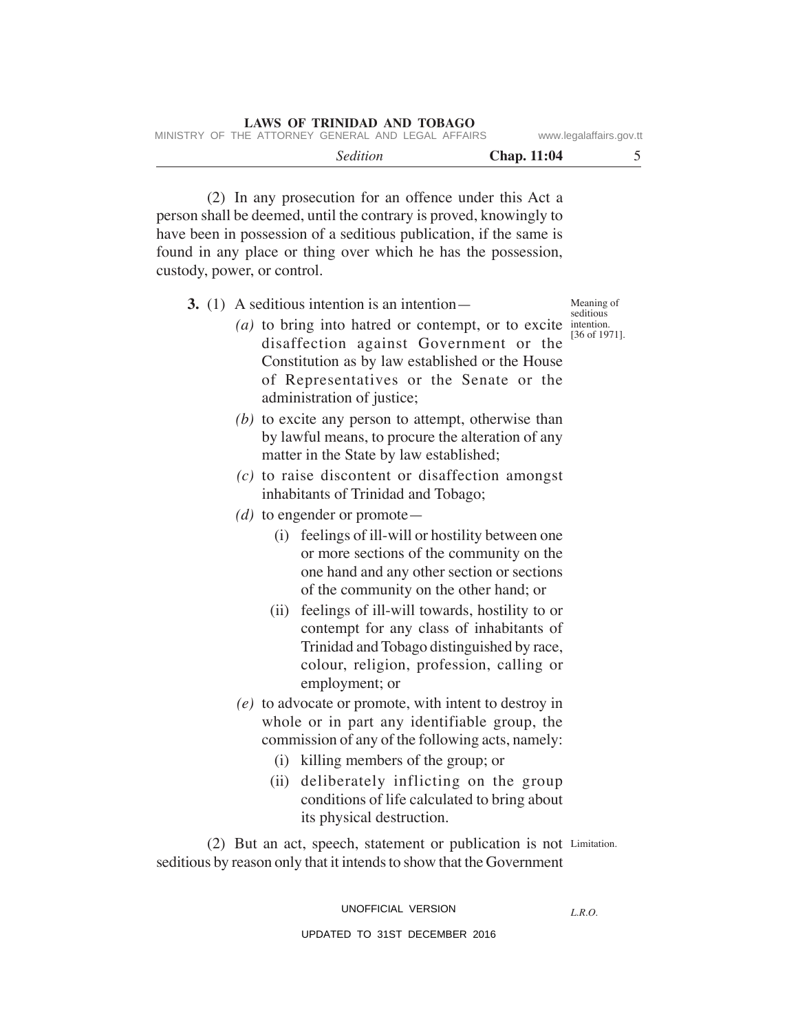(2) In any prosecution for an offence under this Act a person shall be deemed, until the contrary is proved, knowingly to have been in possession of a seditious publication, if the same is found in any place or thing over which he has the possession, custody, power, or control.

| 3. (1) A seditious intention is an intention—<br>( <i>a</i> ) to bring into hatred or contempt, or to excite intention.<br>disaffection against Government or the<br>Constitution as by law established or the House<br>of Representatives or the Senate or the<br>administration of justice;<br>$(b)$ to excite any person to attempt, otherwise than<br>by lawful means, to procure the alteration of any | Meaning of<br>seditious<br>[36 of 1971]. |
|-------------------------------------------------------------------------------------------------------------------------------------------------------------------------------------------------------------------------------------------------------------------------------------------------------------------------------------------------------------------------------------------------------------|------------------------------------------|
| matter in the State by law established;                                                                                                                                                                                                                                                                                                                                                                     |                                          |
| $(c)$ to raise discontent or disaffection amongst<br>inhabitants of Trinidad and Tobago;                                                                                                                                                                                                                                                                                                                    |                                          |
| $(d)$ to engender or promote —                                                                                                                                                                                                                                                                                                                                                                              |                                          |
| (i) feelings of ill-will or hostility between one<br>or more sections of the community on the<br>one hand and any other section or sections<br>of the community on the other hand; or                                                                                                                                                                                                                       |                                          |
| feelings of ill-will towards, hostility to or<br>(ii)<br>contempt for any class of inhabitants of<br>Trinidad and Tobago distinguished by race,<br>colour, religion, profession, calling or<br>employment; or                                                                                                                                                                                               |                                          |
| $(e)$ to advocate or promote, with intent to destroy in                                                                                                                                                                                                                                                                                                                                                     |                                          |
| whole or in part any identifiable group, the                                                                                                                                                                                                                                                                                                                                                                |                                          |
| commission of any of the following acts, namely:                                                                                                                                                                                                                                                                                                                                                            |                                          |
| (i) killing members of the group; or                                                                                                                                                                                                                                                                                                                                                                        |                                          |
| deliberately inflicting on the group<br>(ii)<br>conditions of life calculated to bring about<br>its physical destruction.                                                                                                                                                                                                                                                                                   |                                          |
| (2) But an act, speech, statement or publication is not Limitation.                                                                                                                                                                                                                                                                                                                                         |                                          |
| seditious by reason only that it intends to show that the Government                                                                                                                                                                                                                                                                                                                                        |                                          |

*L.R.O.*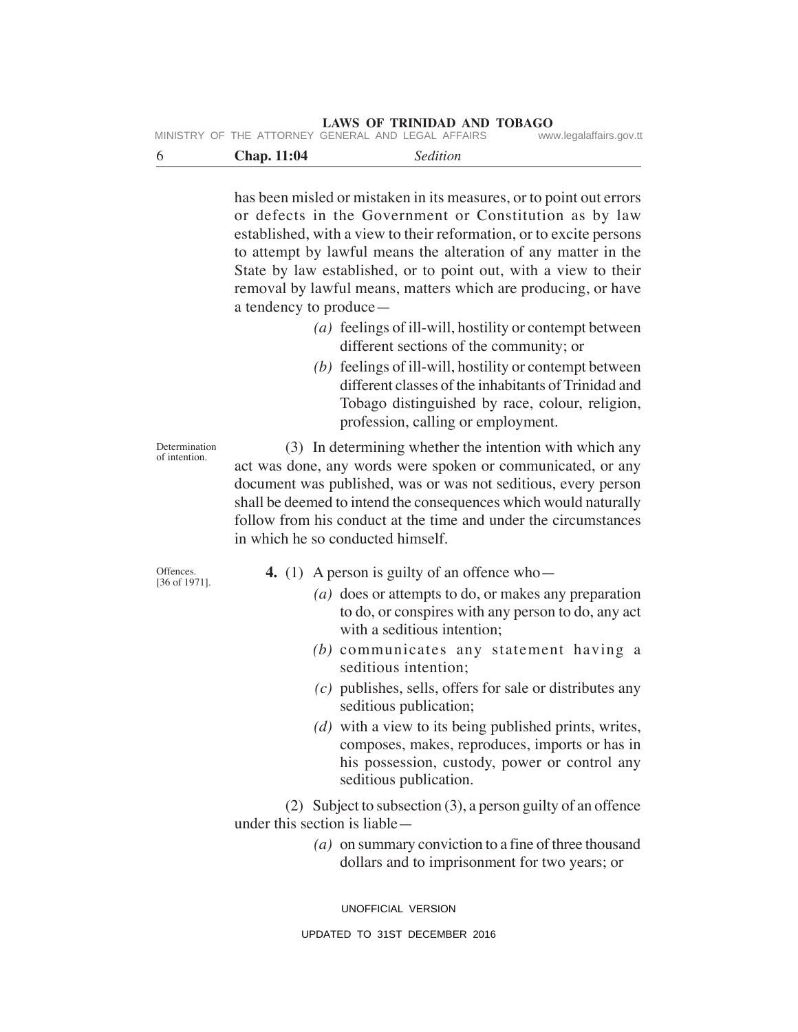|  | MINISTRY OF THE ATTORNEY GENERAL AND LEGAL AFFAIRS |  |  | www.legalaffairs.gov.tt |
|--|----------------------------------------------------|--|--|-------------------------|
|  |                                                    |  |  |                         |

| . <b></b><br>$  -$ | . |  |
|--------------------|---|--|
|                    |   |  |

has been misled or mistaken in its measures, or to point out errors or defects in the Government or Constitution as by law established, with a view to their reformation, or to excite persons to attempt by lawful means the alteration of any matter in the State by law established, or to point out, with a view to their removal by lawful means, matters which are producing, or have a tendency to produce—

- *(a)* feelings of ill-will, hostility or contempt between different sections of the community; or
- *(b)* feelings of ill-will, hostility or contempt between different classes of the inhabitants of Trinidad and Tobago distinguished by race, colour, religion, profession, calling or employment.

(3) In determining whether the intention with which any act was done, any words were spoken or communicated, or any document was published, was or was not seditious, every person shall be deemed to intend the consequences which would naturally follow from his conduct at the time and under the circumstances in which he so conducted himself.

Offences. [36 of 1971].

Determination of intention.

- **4.** (1) A person is guilty of an offence who—
	- *(a)* does or attempts to do, or makes any preparation to do, or conspires with any person to do, any act with a seditious intention;
	- *(b)* communicates any statement having a seditious intention;
	- *(c)* publishes, sells, offers for sale or distributes any seditious publication;
	- *(d)* with a view to its being published prints, writes, composes, makes, reproduces, imports or has in his possession, custody, power or control any seditious publication.

(2) Subject to subsection (3), a person guilty of an offence under this section is liable—

> *(a)* on summary conviction to a fine of three thousand dollars and to imprisonment for two years; or

UNOFFICIAL VERSION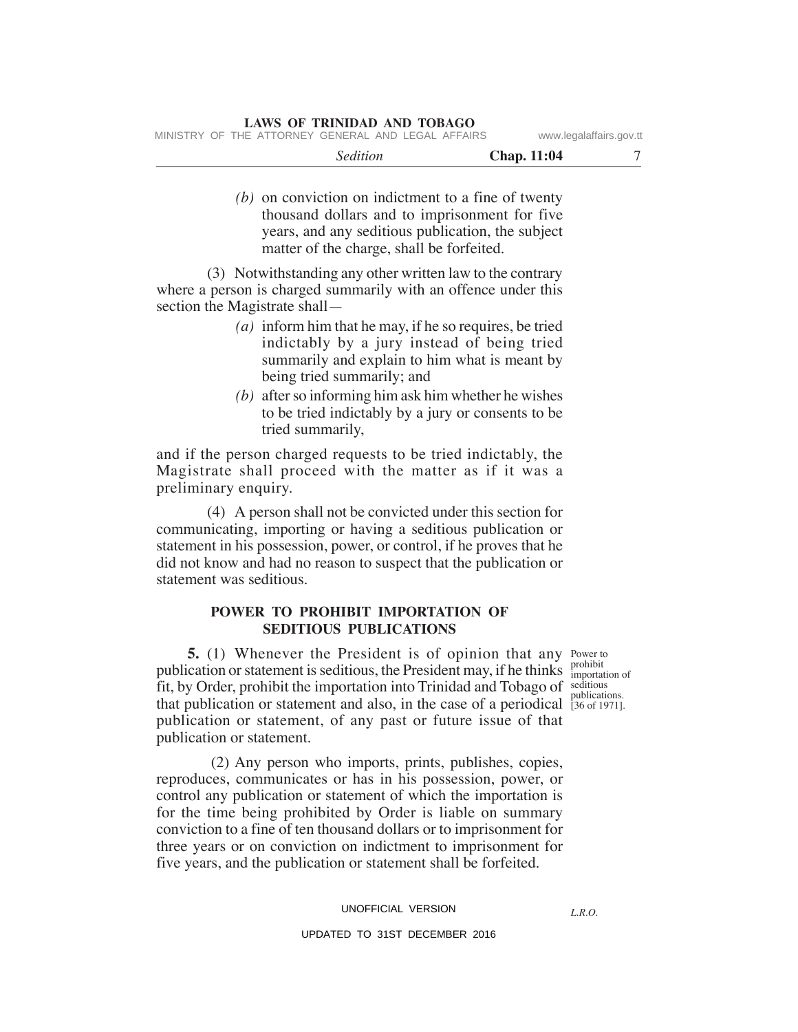| --------- | $\mathbf{a}$<br>.<br>$-1.104$<br>$\sim$ |  |
|-----------|-----------------------------------------|--|
|           |                                         |  |

*(b)* on conviction on indictment to a fine of twenty thousand dollars and to imprisonment for five years, and any seditious publication, the subject matter of the charge, shall be forfeited.

(3) Notwithstanding any other written law to the contrary where a person is charged summarily with an offence under this section the Magistrate shall—

- *(a)* inform him that he may, if he so requires, be tried indictably by a jury instead of being tried summarily and explain to him what is meant by being tried summarily; and
- *(b)* after so informing him ask him whether he wishes to be tried indictably by a jury or consents to be tried summarily,

and if the person charged requests to be tried indictably, the Magistrate shall proceed with the matter as if it was a preliminary enquiry.

(4) A person shall not be convicted under this section for communicating, importing or having a seditious publication or statement in his possession, power, or control, if he proves that he did not know and had no reason to suspect that the publication or statement was seditious.

## **POWER TO PROHIBIT IMPORTATION OF SEDITIOUS PUBLICATIONS**

**5.** (1) Whenever the President is of opinion that any Power to publication or statement is seditious, the President may, if he thinks  $\frac{\text{prohibit}}{\text{important of}}$ fit, by Order, prohibit the importation into Trinidad and Tobago of seditious that publication or statement and also, in the case of a periodical [36 of 1971]. publication or statement, of any past or future issue of that publication or statement.

 (2) Any person who imports, prints, publishes, copies, reproduces, communicates or has in his possession, power, or control any publication or statement of which the importation is for the time being prohibited by Order is liable on summary conviction to a fine of ten thousand dollars or to imprisonment for three years or on conviction on indictment to imprisonment for five years, and the publication or statement shall be forfeited.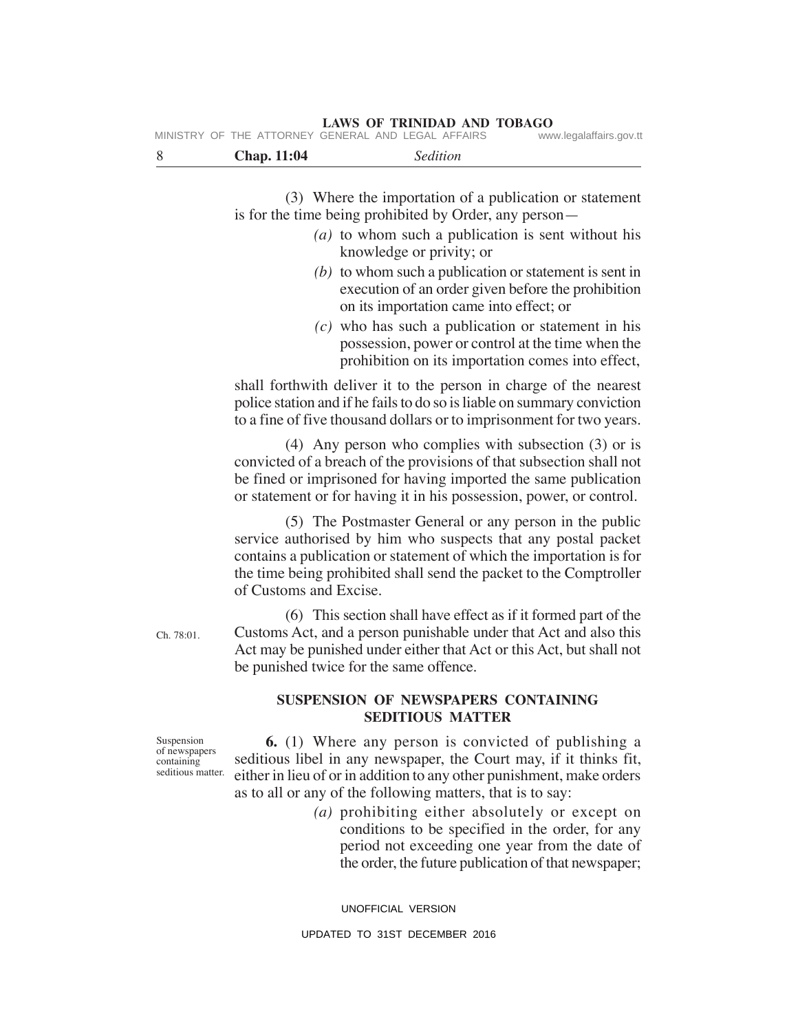| 8                                                              | <b>Chap. 11:04</b>                               | Sedition                                                                                                                                                                                                                                                                                                                                                |  |
|----------------------------------------------------------------|--------------------------------------------------|---------------------------------------------------------------------------------------------------------------------------------------------------------------------------------------------------------------------------------------------------------------------------------------------------------------------------------------------------------|--|
|                                                                |                                                  | (3) Where the importation of a publication or statement<br>is for the time being prohibited by Order, any person—<br>$(a)$ to whom such a publication is sent without his                                                                                                                                                                               |  |
|                                                                |                                                  | knowledge or privity; or<br>$(b)$ to whom such a publication or statement is sent in<br>execution of an order given before the prohibition<br>on its importation came into effect; or<br>$(c)$ who has such a publication or statement in his<br>possession, power or control at the time when the<br>prohibition on its importation comes into effect, |  |
|                                                                |                                                  | shall forthwith deliver it to the person in charge of the nearest<br>police station and if he fails to do so is liable on summary conviction<br>to a fine of five thousand dollars or to imprisonment for two years.                                                                                                                                    |  |
|                                                                |                                                  | $(4)$ Any person who complies with subsection $(3)$ or is<br>convicted of a breach of the provisions of that subsection shall not<br>be fined or imprisoned for having imported the same publication<br>or statement or for having it in his possession, power, or control.                                                                             |  |
|                                                                | of Customs and Excise.                           | (5) The Postmaster General or any person in the public<br>service authorised by him who suspects that any postal packet<br>contains a publication or statement of which the importation is for<br>the time being prohibited shall send the packet to the Comptroller                                                                                    |  |
| Ch. 78:01.                                                     |                                                  | (6) This section shall have effect as if it formed part of the<br>Customs Act, and a person punishable under that Act and also this<br>Act may be punished under either that Act or this Act, but shall not<br>be punished twice for the same offence.                                                                                                  |  |
|                                                                |                                                  | SUSPENSION OF NEWSPAPERS CONTAINING<br><b>SEDITIOUS MATTER</b>                                                                                                                                                                                                                                                                                          |  |
| Suspension<br>of newspapers<br>containing<br>seditious matter. | conditions to be specified in the order, for any | <b>6.</b> (1) Where any person is convicted of publishing a<br>seditious libel in any newspaper, the Court may, if it thinks fit,<br>either in lieu of or in addition to any other punishment, make orders<br>as to all or any of the following matters, that is to say:<br>(a) prohibiting either absolutely or except on                              |  |

conditions to be specified in the order, for any period not exceeding one year from the date of the order, the future publication of that newspaper;

UNOFFICIAL VERSION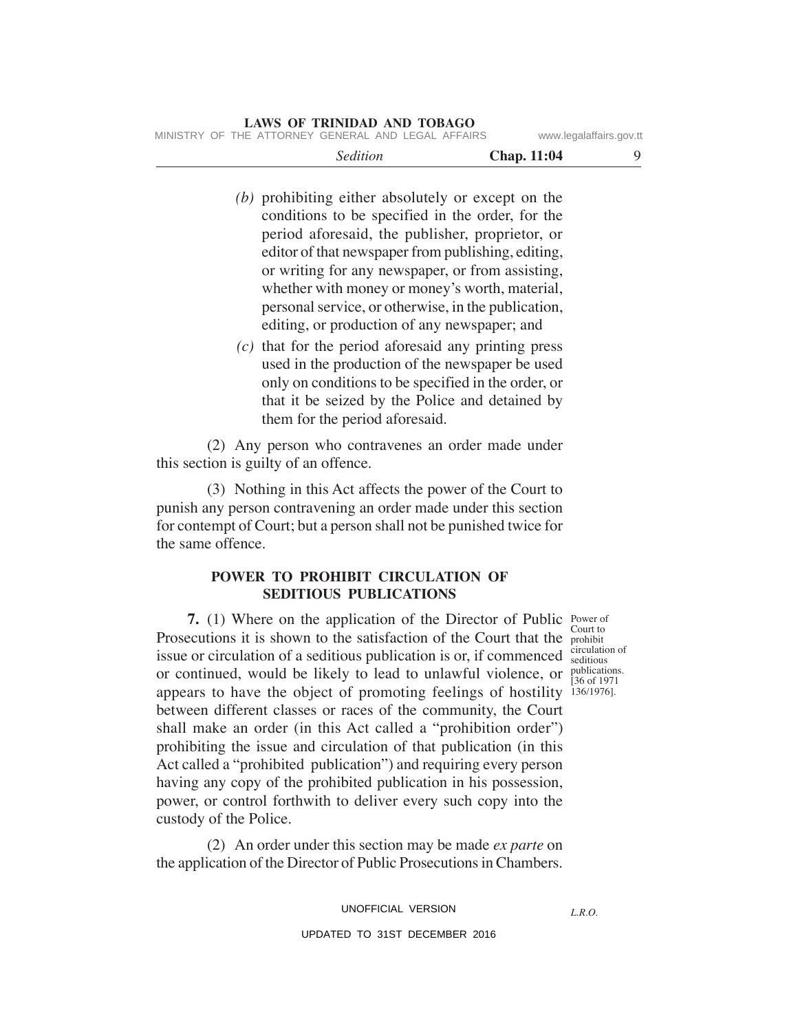- *(b)* prohibiting either absolutely or except on the conditions to be specified in the order, for the period aforesaid, the publisher, proprietor, or editor of that newspaper from publishing, editing, or writing for any newspaper, or from assisting, whether with money or money's worth, material, personal service, or otherwise, in the publication, editing, or production of any newspaper; and
- *(c)* that for the period aforesaid any printing press used in the production of the newspaper be used only on conditions to be specified in the order, or that it be seized by the Police and detained by them for the period aforesaid.

(2) Any person who contravenes an order made under this section is guilty of an offence.

(3) Nothing in this Act affects the power of the Court to punish any person contravening an order made under this section for contempt of Court; but a person shall not be punished twice for the same offence.

# **POWER TO PROHIBIT CIRCULATION OF SEDITIOUS PUBLICATIONS**

**7.** (1) Where on the application of the Director of Public Power of Prosecutions it is shown to the satisfaction of the Court that the prohibit issue or circulation of a seditious publication is or, if commenced  $\frac{\text{circulation of}}{\text{seditions}}$ or continued, would be likely to lead to unlawful violence, or  $\frac{\text{publications}}{136.61971}$ appears to have the object of promoting feelings of hostility 136/1976]. between different classes or races of the community, the Court shall make an order (in this Act called a "prohibition order") prohibiting the issue and circulation of that publication (in this Act called a "prohibited publication") and requiring every person having any copy of the prohibited publication in his possession, power, or control forthwith to deliver every such copy into the custody of the Police. Court to

seditious [36 of 1971

(2) An order under this section may be made *ex parte* on the application of the Director of Public Prosecutions in Chambers.

UNOFFICIAL VERSION

UPDATED TO 31ST DECEMBER 2016

*L.R.O.*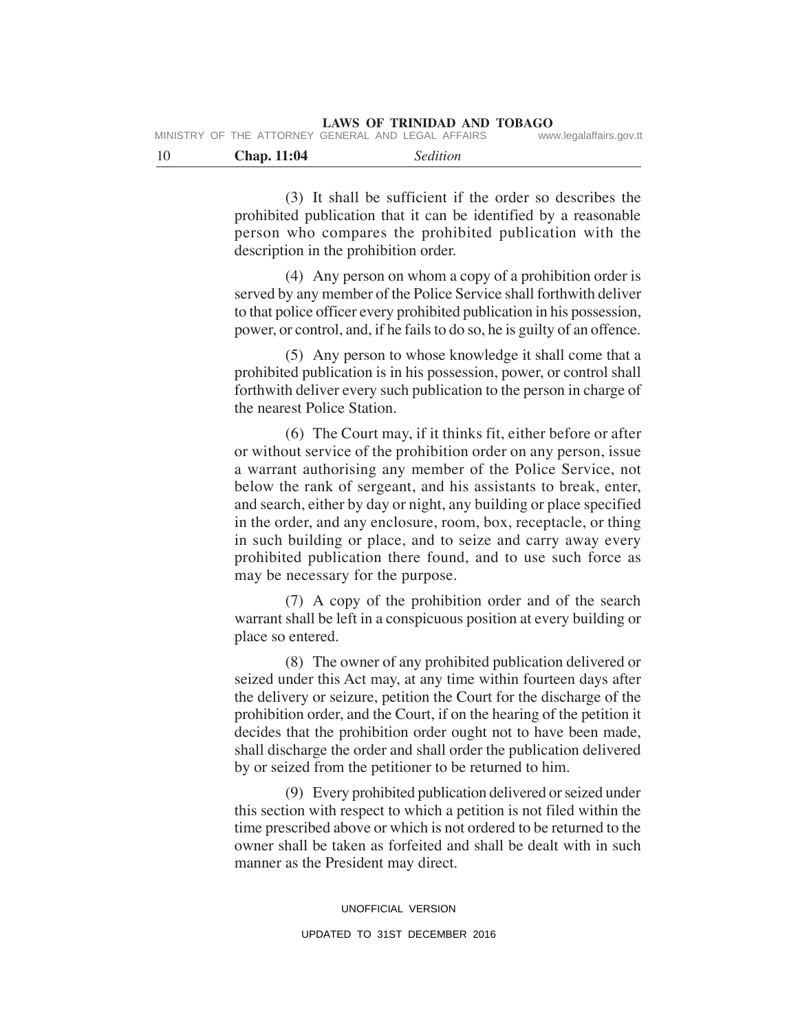|      |                    | IVIIINIJIINI UF INE AIIUNNEI UENENAL AINU LEUAL AFFAINJ | www.iegalalialis.gov.u |
|------|--------------------|---------------------------------------------------------|------------------------|
| - 10 | <b>Chap.</b> 11:04 | <i>Sedition</i>                                         |                        |

MINISTRY OF THE ATTORNEY

(3) It shall be sufficient if the order so describes the prohibited publication that it can be identified by a reasonable person who compares the prohibited publication with the description in the prohibition order.

(4) Any person on whom a copy of a prohibition order is served by any member of the Police Service shall forthwith deliver to that police officer every prohibited publication in his possession, power, or control, and, if he fails to do so, he is guilty of an offence.

(5) Any person to whose knowledge it shall come that a prohibited publication is in his possession, power, or control shall forthwith deliver every such publication to the person in charge of the nearest Police Station.

(6) The Court may, if it thinks fit, either before or after or without service of the prohibition order on any person, issue a warrant authorising any member of the Police Service, not below the rank of sergeant, and his assistants to break, enter, and search, either by day or night, any building or place specified in the order, and any enclosure, room, box, receptacle, or thing in such building or place, and to seize and carry away every prohibited publication there found, and to use such force as may be necessary for the purpose.

(7) A copy of the prohibition order and of the search warrant shall be left in a conspicuous position at every building or place so entered.

(8) The owner of any prohibited publication delivered or seized under this Act may, at any time within fourteen days after the delivery or seizure, petition the Court for the discharge of the prohibition order, and the Court, if on the hearing of the petition it decides that the prohibition order ought not to have been made, shall discharge the order and shall order the publication delivered by or seized from the petitioner to be returned to him.

(9) Every prohibited publication delivered or seized under this section with respect to which a petition is not filed within the time prescribed above or which is not ordered to be returned to the owner shall be taken as forfeited and shall be dealt with in such manner as the President may direct.

> UNOFFICIAL VERSION UPDATED TO 31ST DECEMBER 2016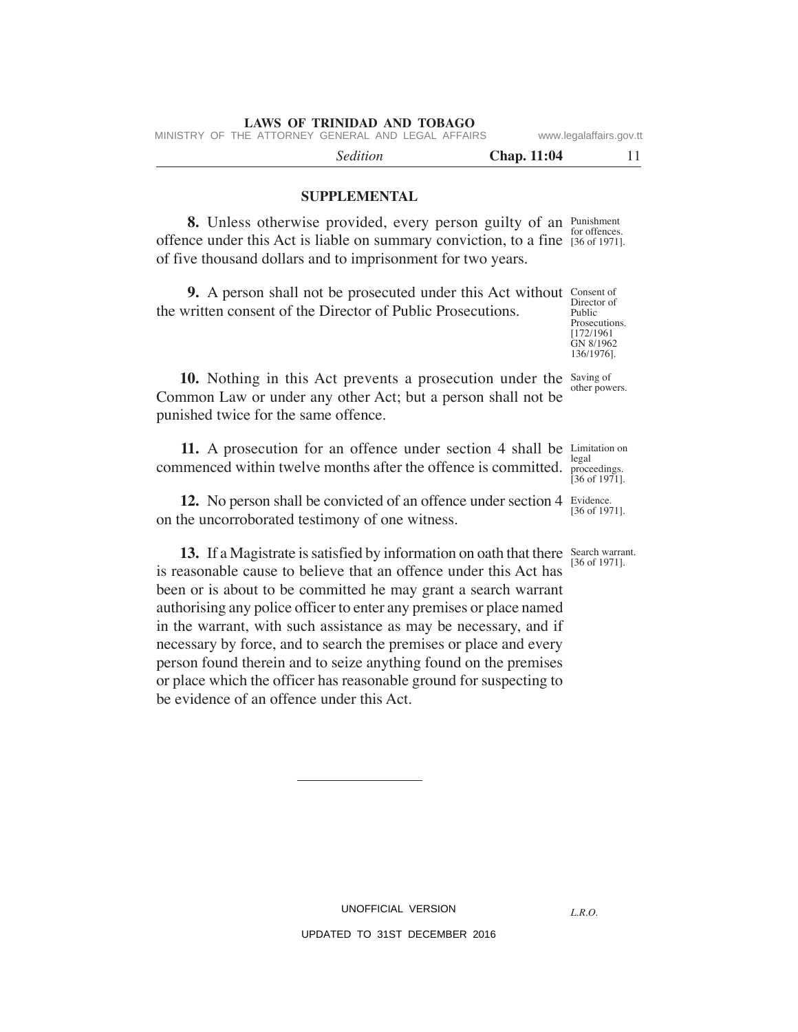MINISTRY OF THE ATTORNEY GENERAL AND LEGAL AFFAIRS www.legalaffairs.gov.tt

*Sedition* **Chap. 11:04** 11

## **SUPPLEMENTAL**

**8.** Unless otherwise provided, every person guilty of an Punishment offence under this Act is liable on summary conviction, to a fine [36 of 1971]. of five thousand dollars and to imprisonment for two years. for offences.

**9.** A person shall not be prosecuted under this Act without Consent of the written consent of the Director of Public Prosecutions.

136/1976].

10. Nothing in this Act prevents a prosecution under the Saving of Common Law or under any other Act; but a person shall not be punished twice for the same offence.

**11.** A prosecution for an offence under section 4 shall be Limitation on commenced within twelve months after the offence is committed. legal

**12.** No person shall be convicted of an offence under section 4 Evidence. on the uncorroborated testimony of one witness.

**13.** If a Magistrate is satisfied by information on oath that there Search warrant. is reasonable cause to believe that an offence under this Act has been or is about to be committed he may grant a search warrant authorising any police officer to enter any premises or place named in the warrant, with such assistance as may be necessary, and if necessary by force, and to search the premises or place and every person found therein and to seize anything found on the premises or place which the officer has reasonable ground for suspecting to be evidence of an offence under this Act.

[36 of 1971].

*L.R.O.* 

UNOFFICIAL VERSION UPDATED TO 31ST DECEMBER 2016

Director of Public Prosecutions. [172/1961 GN 8/1962

other powers.

proceedings.  $[36 \text{ of } 1971]$ .

[36 of 1971].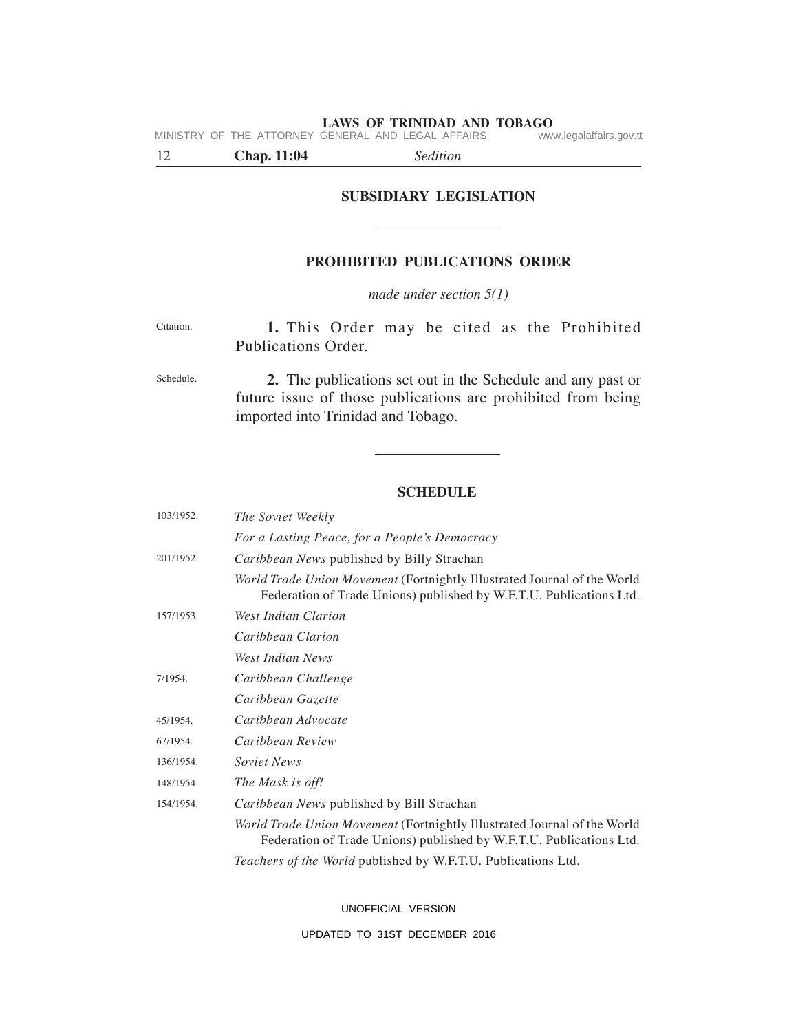MINISTRY OF THE ATTORNEY GENERAL AND LEGAL AFFAIRS www.legalaffairs.gov.tt

12 **Chap. 11:04** *Sedition*

# **SUBSIDIARY LEGISLATION**

 $\overline{\phantom{a}}$ 

## **PROHIBITED PUBLICATIONS ORDER**

*made under section 5(1)*

| Citation. |                     |  |  |  | 1. This Order may be cited as the Prohibited |
|-----------|---------------------|--|--|--|----------------------------------------------|
|           | Publications Order. |  |  |  |                                              |
|           |                     |  |  |  |                                              |

**2.** The publications set out in the Schedule and any past or future issue of those publications are prohibited from being imported into Trinidad and Tobago. Schedule.

## **SCHEDULE**

| 103/1952. | <i>The Soviet Weekly</i>                                                                                                                        |
|-----------|-------------------------------------------------------------------------------------------------------------------------------------------------|
|           | For a Lasting Peace, for a People's Democracy                                                                                                   |
| 201/1952. | Caribbean News published by Billy Strachan                                                                                                      |
|           | World Trade Union Movement (Fortnightly Illustrated Journal of the World<br>Federation of Trade Unions) published by W.F.T.U. Publications Ltd. |
| 157/1953. | West Indian Clarion                                                                                                                             |
|           | Caribbean Clarion                                                                                                                               |
|           | West Indian News                                                                                                                                |
| 7/1954.   | Caribbean Challenge                                                                                                                             |
|           | Caribbean Gazette                                                                                                                               |
| 45/1954.  | Caribbean Advocate                                                                                                                              |
| 67/1954.  | Caribbean Review                                                                                                                                |
| 136/1954. | Soviet News                                                                                                                                     |
| 148/1954. | The Mask is off!                                                                                                                                |
| 154/1954. | <i>Caribbean News</i> published by Bill Strachan                                                                                                |
|           | World Trade Union Movement (Fortnightly Illustrated Journal of the World<br>Federation of Trade Unions) published by W.F.T.U. Publications Ltd. |
|           | Teachers of the World published by W.F.T.U. Publications Ltd.                                                                                   |

UNOFFICIAL VERSION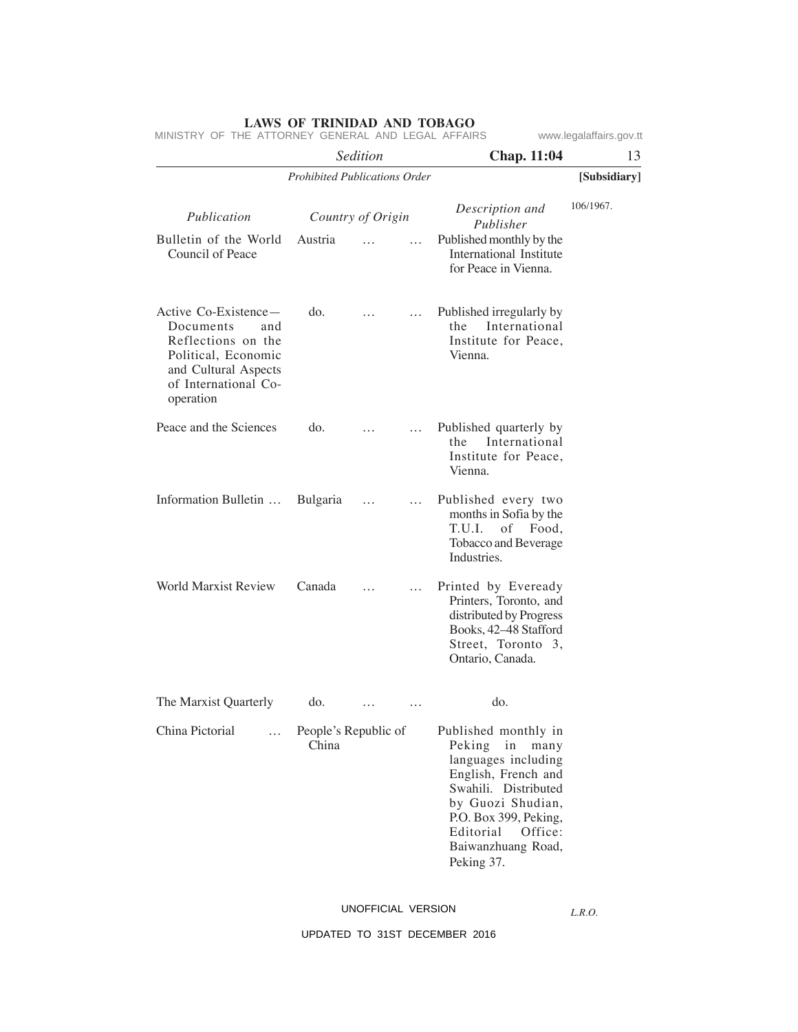|                                                                                                                                                    |                                      | Sedition |          | Chap. 11:04                                                                                                                                                                                                                  | 13           |
|----------------------------------------------------------------------------------------------------------------------------------------------------|--------------------------------------|----------|----------|------------------------------------------------------------------------------------------------------------------------------------------------------------------------------------------------------------------------------|--------------|
|                                                                                                                                                    | <b>Prohibited Publications Order</b> |          |          |                                                                                                                                                                                                                              | [Subsidiary] |
| Publication                                                                                                                                        | Country of Origin                    |          |          | Description and<br>Publisher                                                                                                                                                                                                 | 106/1967.    |
| Bulletin of the World<br>Council of Peace                                                                                                          | Austria                              |          | $\cdots$ | Published monthly by the<br>International Institute<br>for Peace in Vienna.                                                                                                                                                  |              |
| Active Co-Existence—<br>Documents<br>and<br>Reflections on the<br>Political, Economic<br>and Cultural Aspects<br>of International Co-<br>operation | do.                                  |          | $\cdots$ | Published irregularly by<br>International<br>the<br>Institute for Peace,<br>Vienna.                                                                                                                                          |              |
| Peace and the Sciences                                                                                                                             | do.                                  |          | $\cdots$ | Published quarterly by<br>International<br>the<br>Institute for Peace,<br>Vienna.                                                                                                                                            |              |
| Information Bulletin                                                                                                                               | Bulgaria                             | $\cdots$ | $\cdots$ | Published every two<br>months in Sofia by the<br>T.U.I. of Food,<br>Tobacco and Beverage<br>Industries.                                                                                                                      |              |
| <b>World Marxist Review</b>                                                                                                                        | Canada                               |          | .        | Printed by Eveready<br>Printers, Toronto, and<br>distributed by Progress<br>Books, 42-48 Stafford<br>Street, Toronto 3,<br>Ontario, Canada.                                                                                  |              |
| The Marxist Quarterly                                                                                                                              | do.                                  |          | .        | do.                                                                                                                                                                                                                          |              |
| China Pictorial<br>$\cdots$                                                                                                                        | People's Republic of<br>China        |          |          | Published monthly in<br>Peking<br>in<br>many<br>languages including<br>English, French and<br>Swahili. Distributed<br>by Guozi Shudian,<br>P.O. Box 399, Peking,<br>Editorial<br>Office:<br>Baiwanzhuang Road,<br>Peking 37. |              |

# UNOFFICIAL VERSION

*L.R.O.*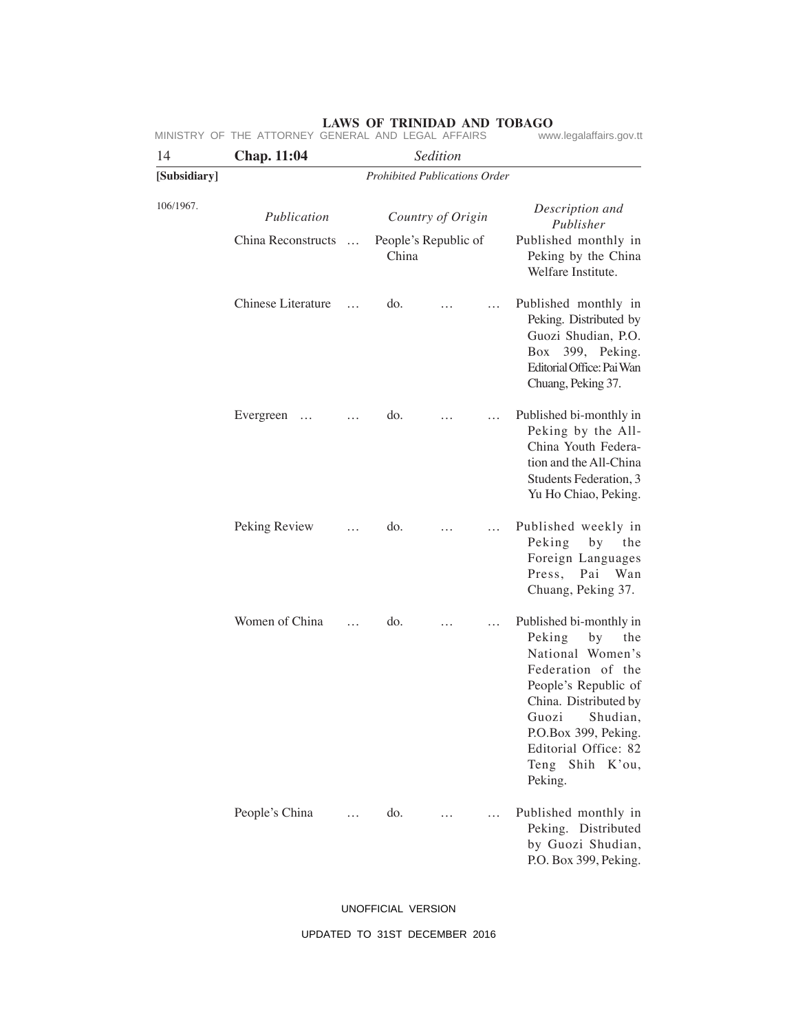## 14 **Chap. 11:04** *Sedition* **[Subsidiary]** *Prohibited Publications Order* 106/1967. *Publication Country of Origin Description and Publisher* China Reconstructs … Chinese Literature … Evergreen … … Peking Review … Women of China … People's China … People's Republic of China do. … … do. … … do. … … do. … … do. … … Published monthly in Peking by the China Welfare Institute. Published monthly in Peking. Distributed by Guozi Shudian, P.O. Box 399, Peking. Editorial Office: Pai Wan Chuang, Peking 37. Published bi-monthly in Peking by the All-China Youth Federation and the All-China Students Federation, 3 Yu Ho Chiao, Peking. Published weekly in Peking by the Foreign Languages Press, Pai Wan Chuang, Peking 37. Published bi-monthly in Peking by the National Women's Federation of the People's Republic of China. Distributed by Guozi Shudian, P.O.Box 399, Peking. Editorial Office: 82 Teng Shih K'ou, Peking. Published monthly in Peking. Distributed by Guozi Shudian, P.O. Box 399, Peking. MINISTRY OF THE ATTORNEY GENERAL AND LEGAL AFFAIRS

# **LAWS OF TRINIDAD AND TOBAGO**<br>GENERAL AND LEGAL AFFAIRS www.legalaffairs.gov.tt

UNOFFICIAL VERSION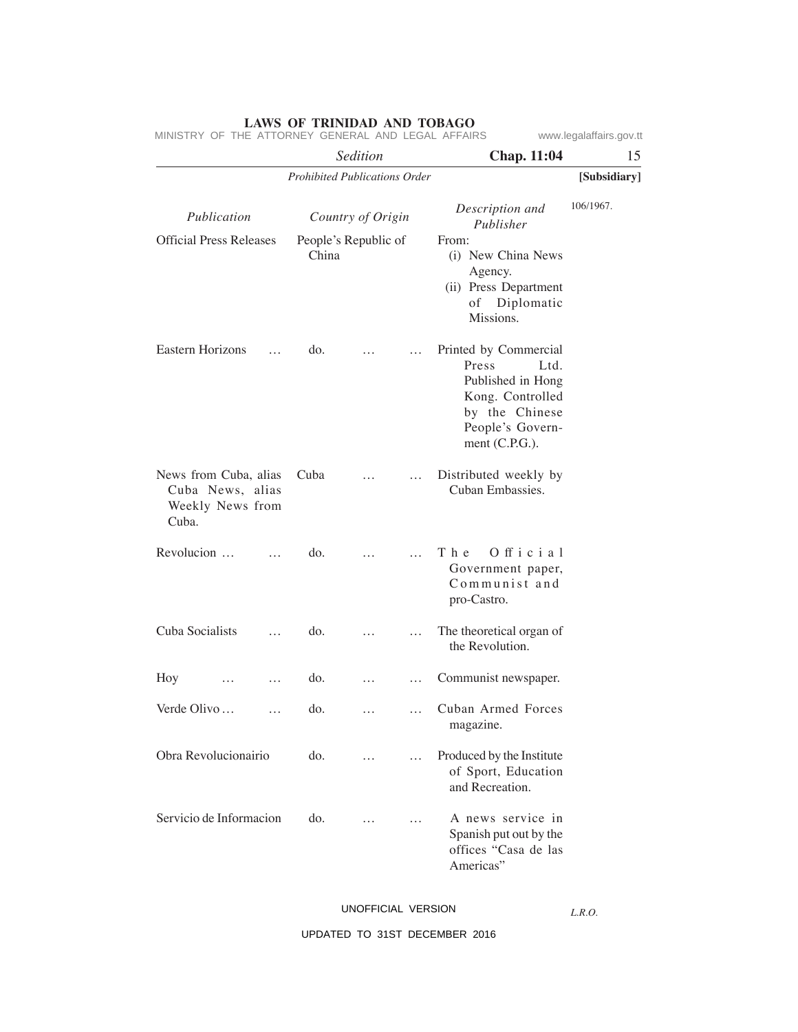*Sedition* **Chap. 11:04** 15 *Prohibited Publications Order* **[Subsidiary]** Official Press Releases Eastern Horizons … News from Cuba, alias Cuba News, alias Weekly News from Cuba. Revolucion … … Cuba Socialists … Hoy … … Verde Olivo … … Obra Revolucionairio Servicio de Informacion *Publication Country of Origin Description and Publisher* People's Republic of China do. … … Cuba … … do. … … do. … … do. … … do. … … do. … … do. … … From: (i) New China News Agency. (ii) Press Department of Diplomatic Missions. Printed by Commercial Press Ltd. Published in Hong Kong. Controlled by the Chinese People's Government (C.P.G.). Distributed weekly by Cuban Embassies. The Official Government paper, Communist and pro-Castro. The theoretical organ of the Revolution. Communist newspaper. Cuban Armed Forces magazine. Produced by the Institute of Sport, Education and Recreation. A news service in Spanish put out by the offices "Casa de las Americas" 106/1967.

MINISTRY OF THE ATTORNEY GENERAL AND LEGAL AFFAIRS www.legalaffairs.gov.tt

UNOFFICIAL VERSION

*L.R.O.*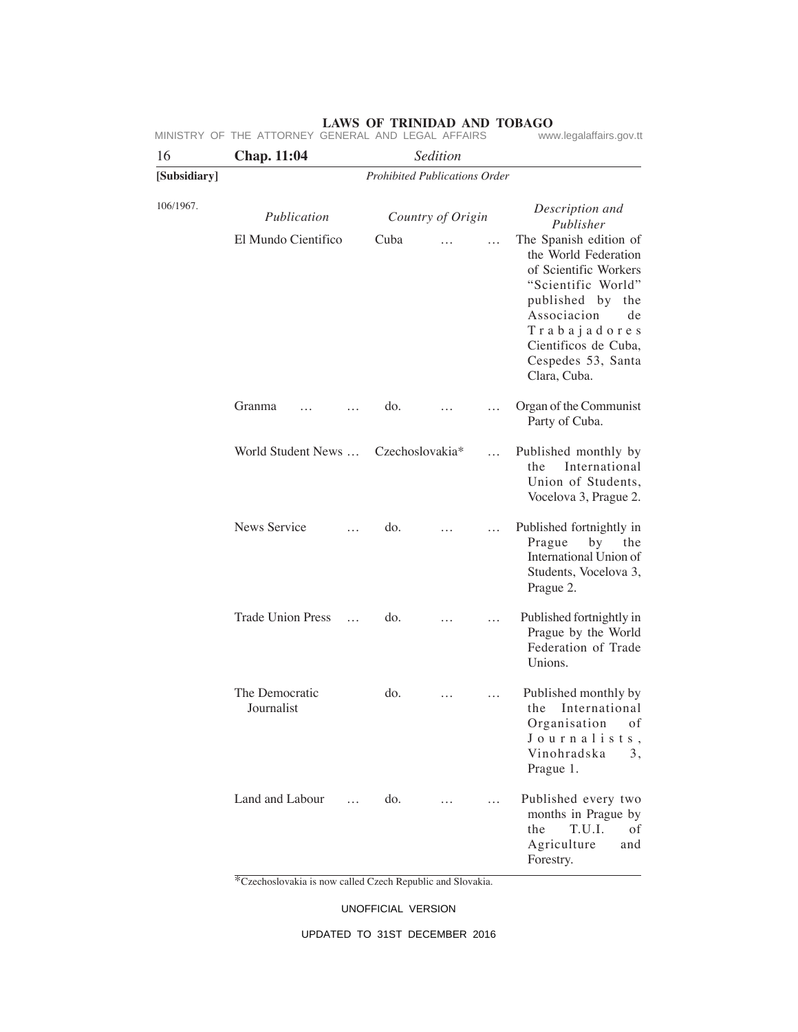| 16           | <b>Chap.</b> 11:04           |                                      |                 | Sedition          |           |                                                                                                                                                                                                                         |
|--------------|------------------------------|--------------------------------------|-----------------|-------------------|-----------|-------------------------------------------------------------------------------------------------------------------------------------------------------------------------------------------------------------------------|
| [Subsidiary] |                              | <b>Prohibited Publications Order</b> |                 |                   |           |                                                                                                                                                                                                                         |
| 106/1967.    | Publication                  |                                      |                 | Country of Origin |           | Description and<br>Publisher                                                                                                                                                                                            |
|              | El Mundo Científico          |                                      | Cuba            |                   | $\sim$    | The Spanish edition of<br>the World Federation<br>of Scientific Workers<br>"Scientific World"<br>published by<br>the<br>Associacion<br>de<br>Trabajadores<br>Cientificos de Cuba,<br>Cespedes 53, Santa<br>Clara, Cuba. |
|              | Granma                       |                                      | do.             |                   | $\cdots$  | Organ of the Communist<br>Party of Cuba.                                                                                                                                                                                |
|              | World Student News           |                                      | Czechoslovakia* |                   | $\ddotsc$ | Published monthly by<br>International<br>the<br>Union of Students,<br>Vocelova 3, Prague 2.                                                                                                                             |
|              | News Service                 |                                      | do.             |                   | .         | Published fortnightly in<br>Prague<br>by<br>the<br>International Union of<br>Students, Vocelova 3,<br>Prague 2.                                                                                                         |
|              | <b>Trade Union Press</b>     | $\dddot{\phantom{0}}$                | do.             |                   |           | Published fortnightly in<br>Prague by the World<br>Federation of Trade<br>Unions.                                                                                                                                       |
|              | The Democratic<br>Journalist |                                      | do.             | .                 |           | Published monthly by<br>International<br>the<br>Organisation<br>οf<br>Journalists,<br>Vinohradska<br>3,<br>Prague 1.                                                                                                    |
|              | Land and Labour              | $\cdots$                             | do.             |                   | $\cdots$  | Published every two<br>months in Prague by<br>T.U.I.<br>the<br>οf<br>Agriculture<br>and<br>Forestry.                                                                                                                    |

\*Czechoslovakia is now called Czech Republic and Slovakia.

UNOFFICIAL VERSION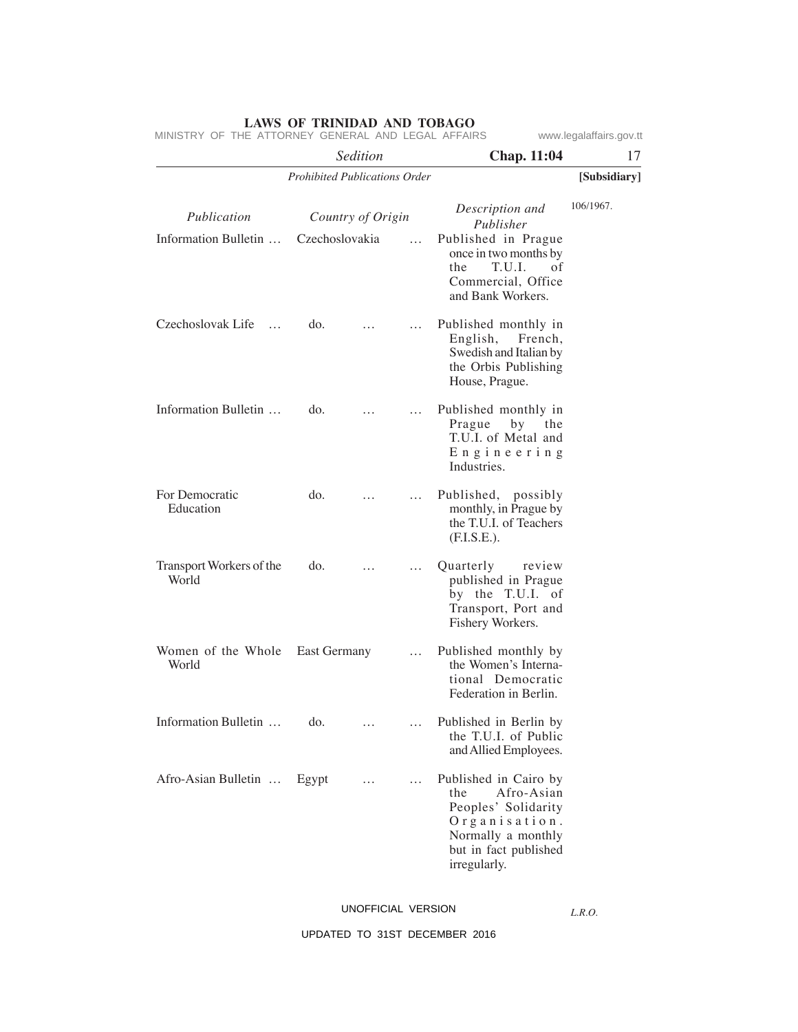*Sedition* **Chap. 11:04** 17 *Prohibited Publications Order* **[Subsidiary]** 106/1967. *Publication Country of Origin Description and Publisher* Information Bulletin … Czechoslovak Life … Information Bulletin … For Democratic Education Transport Workers of the World Women of the Whole East Germany ... World Information Bulletin … Afro-Asian Bulletin … Czechoslovakia … do. … … do. … … do. … … do. … … do. … … Egypt … … Published in Prague once in two months by the T.U.I. of Commercial, Office and Bank Workers. Published monthly in English, French, Swedish and Italian by the Orbis Publishing House, Prague. Published monthly in<br>Prague by the by the T.U.I. of Metal and E n g i n e e r i n g Industries. Published, possibly monthly, in Prague by the T.U.I. of Teachers (F.I.S.E.). Quarterly review published in Prague by the T.U.I. of Transport, Port and Fishery Workers. Published monthly by the Women's International Democratic Federation in Berlin. Published in Berlin by the T.U.I. of Public and Allied Employees. Published in Cairo by the Afro-Asian Peoples' Solidarity O r g a n i s a t i o n . Normally a monthly but in fact published irregularly. MINISTRY OF THE ATTORNEY GENERAL AND LEGAL AFFAIRS www.legalaffairs.gov.tt

UNOFFICIAL VERSION

*L.R.O.*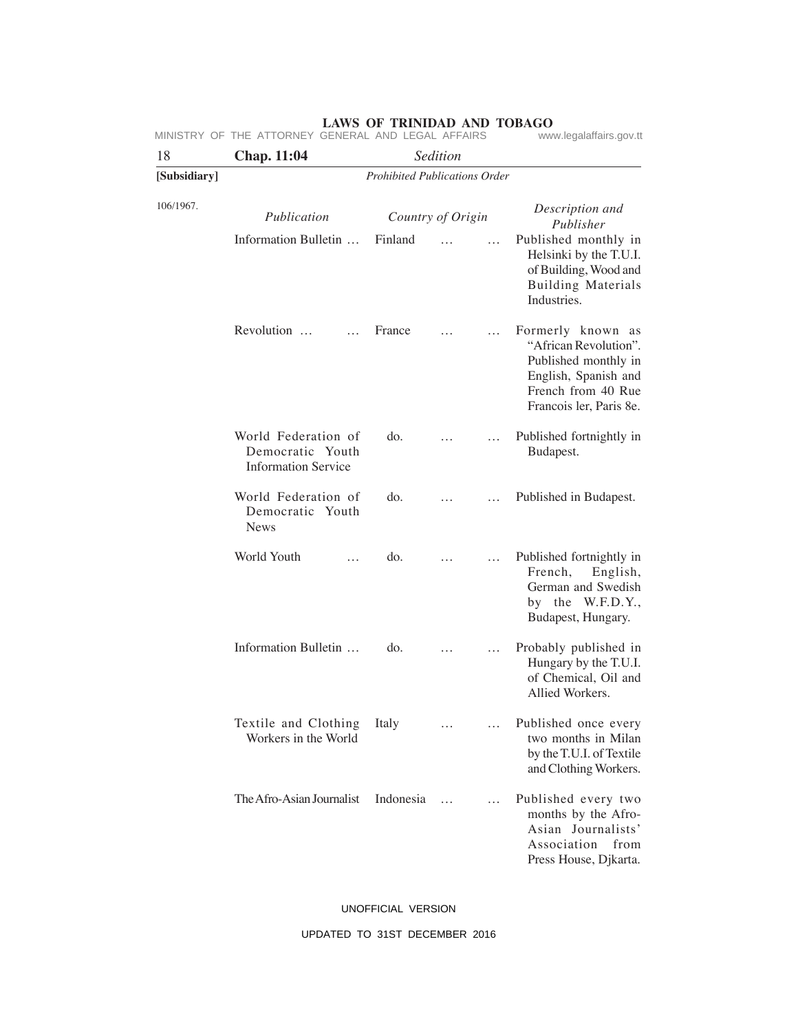|              | MINISTRY OF THE ATTORNEY GENERAL AND LEGAL AFFAIRS                    | www.legalaffairs.gov.tt              |                   |           |                                                                                                                                             |  |
|--------------|-----------------------------------------------------------------------|--------------------------------------|-------------------|-----------|---------------------------------------------------------------------------------------------------------------------------------------------|--|
| 18           | Chap. 11:04                                                           |                                      |                   |           |                                                                                                                                             |  |
| [Subsidiary] |                                                                       | <b>Prohibited Publications Order</b> |                   |           |                                                                                                                                             |  |
| 106/1967.    | Publication                                                           |                                      | Country of Origin |           | Description and<br>Publisher                                                                                                                |  |
|              | Information Bulletin                                                  | Finland                              |                   | $\ddotsc$ | Published monthly in<br>Helsinki by the T.U.I.<br>of Building, Wood and<br><b>Building Materials</b><br>Industries.                         |  |
|              | Revolution                                                            | France                               |                   |           | Formerly known as<br>"African Revolution".<br>Published monthly in<br>English, Spanish and<br>French from 40 Rue<br>Francois ler, Paris 8e. |  |
|              | World Federation of<br>Democratic Youth<br><b>Information Service</b> | do.                                  |                   |           | Published fortnightly in<br>Budapest.                                                                                                       |  |
|              | World Federation of<br>Democratic Youth<br><b>News</b>                | do.                                  |                   |           | Published in Budapest.                                                                                                                      |  |
|              | World Youth<br>.                                                      | do.                                  |                   |           | Published fortnightly in<br>French,<br>English,<br>German and Swedish<br>by the W.F.D.Y.,<br>Budapest, Hungary.                             |  |
|              | Information Bulletin                                                  | do.                                  |                   |           | Probably published in<br>Hungary by the T.U.I.<br>of Chemical, Oil and<br>Allied Workers.                                                   |  |
|              | Textile and Clothing<br>Workers in the World                          | Italy                                |                   |           | Published once every<br>two months in Milan<br>by the T.U.I. of Textile<br>and Clothing Workers.                                            |  |
|              | The Afro-Asian Journalist                                             | Indonesia                            | $\cdots$          | $\cdots$  | Published every two<br>months by the Afro-<br>Asian Journalists'<br>Association<br>from<br>Press House, Djkarta.                            |  |

UNOFFICIAL VERSION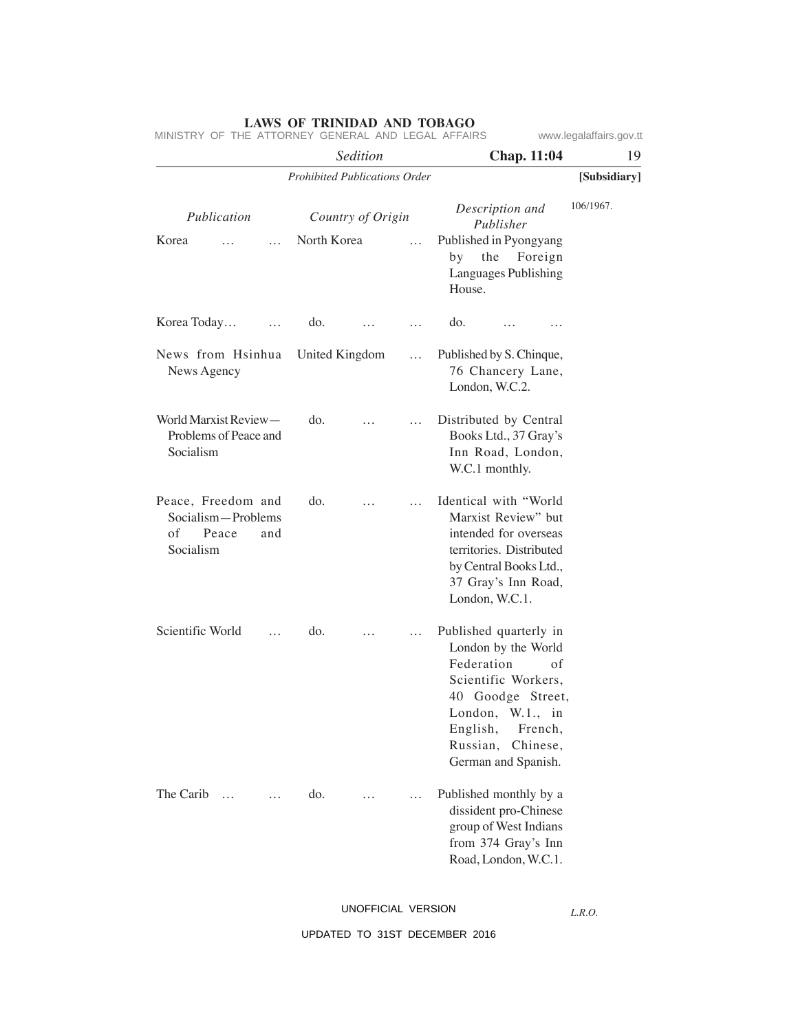|                                                                             | Sedition                             |                   |          |                                                                                                                                                                            | <b>Chap. 11:04</b>        | 19           |
|-----------------------------------------------------------------------------|--------------------------------------|-------------------|----------|----------------------------------------------------------------------------------------------------------------------------------------------------------------------------|---------------------------|--------------|
|                                                                             | <b>Prohibited Publications Order</b> |                   |          |                                                                                                                                                                            |                           | [Subsidiary] |
| Publication<br>Korea<br>$\cdots$                                            | North Korea                          | Country of Origin | .        | Description and<br>Publisher<br>Published in Pyongyang<br>by the Foreign<br>Languages Publishing                                                                           |                           | 106/1967.    |
|                                                                             |                                      |                   |          | House.                                                                                                                                                                     |                           |              |
| Korea Today<br>$\cdots$                                                     | do.                                  | $\cdots$          | .        | do.<br>$\cdots$                                                                                                                                                            |                           |              |
| News from Hsinhua<br>News Agency                                            | United Kingdom                       |                   | $\cdots$ | Published by S. Chinque,<br>76 Chancery Lane,<br>London, W.C.2.                                                                                                            |                           |              |
| World Marxist Review-<br>Problems of Peace and<br>Socialism                 | do.                                  | .                 | $\cdots$ | Distributed by Central<br>Books Ltd., 37 Gray's<br>Inn Road, London,<br>W.C.1 monthly.                                                                                     |                           |              |
| Peace, Freedom and<br>Socialism-Problems<br>of<br>Peace<br>and<br>Socialism | do.                                  |                   | $\cdots$ | Identical with "World<br>Marxist Review" but<br>intended for overseas<br>territories. Distributed<br>by Central Books Ltd.,<br>37 Gray's Inn Road,<br>London, W.C.1.       |                           |              |
| Scientific World<br>$\cdots$                                                | do.                                  |                   | .        | Published quarterly in<br>London by the World<br>Federation<br>Scientific Workers,<br>40 Goodge Street,<br>London, W.1., in<br>English,<br>Russian,<br>German and Spanish. | of<br>French,<br>Chinese, |              |
| The Carib<br>$\dddot{\phantom{0}}$                                          | do.                                  |                   | $\cdots$ | Published monthly by a<br>dissident pro-Chinese<br>group of West Indians<br>from 374 Gray's Inn<br>Road, London, W.C.1.                                                    |                           |              |

MINISTRY OF THE ATTORNEY GENERAL AND LEGAL AFFAIRS www.legalaffairs.gov.tt

UNOFFICIAL VERSION

*L.R.O.*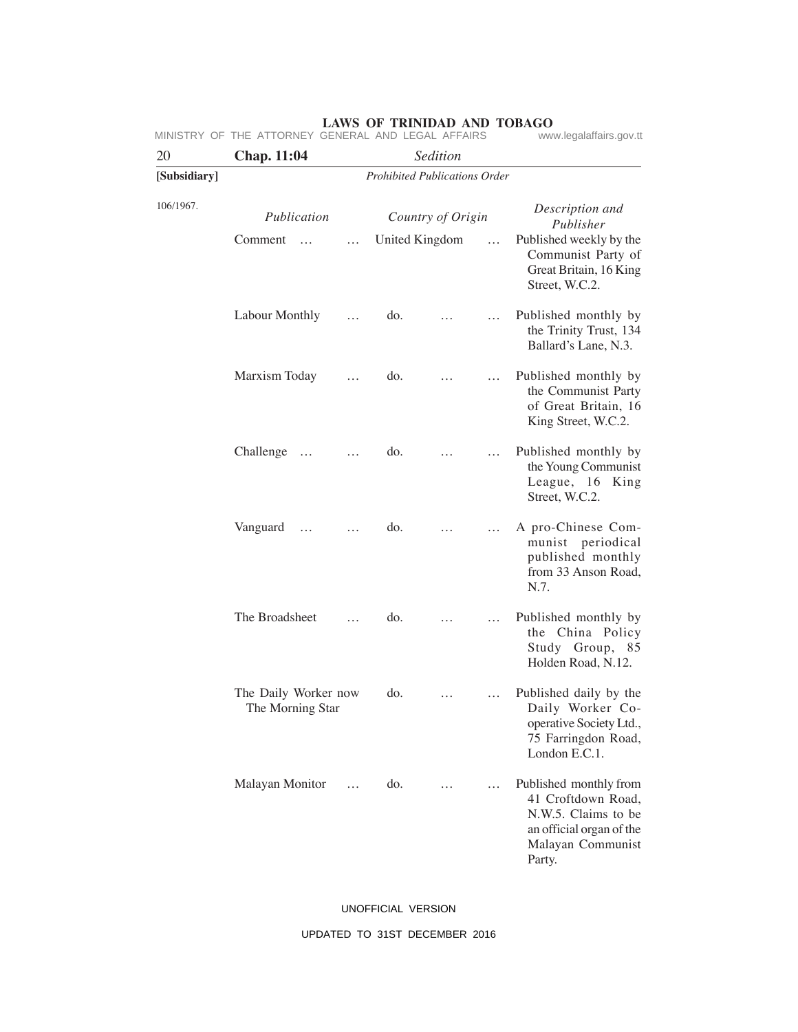| 20           | Chap. 11:04                                      |                   |                |   |                              |                                                                                                                                |  |  |  |
|--------------|--------------------------------------------------|-------------------|----------------|---|------------------------------|--------------------------------------------------------------------------------------------------------------------------------|--|--|--|
| [Subsidiary] | Sedition<br><b>Prohibited Publications Order</b> |                   |                |   |                              |                                                                                                                                |  |  |  |
| 106/1967.    | Publication                                      | Country of Origin |                |   | Description and<br>Publisher |                                                                                                                                |  |  |  |
|              | Comment<br>$\cdots$                              | $\cdots$          | United Kingdom |   | .                            | Published weekly by the<br>Communist Party of<br>Great Britain, 16 King<br>Street, W.C.2.                                      |  |  |  |
|              | Labour Monthly                                   |                   | do.            |   |                              | Published monthly by<br>the Trinity Trust, 134<br>Ballard's Lane, N.3.                                                         |  |  |  |
|              | Marxism Today                                    | .                 | do.            | . | $\cdots$                     | Published monthly by<br>the Communist Party<br>of Great Britain, 16<br>King Street, W.C.2.                                     |  |  |  |
|              | Challenge<br>$\cdots$                            | $\cdots$          | do.            |   | $\dddot{\phantom{0}}$        | Published monthly by<br>the Young Communist<br>League, 16 King<br>Street, W.C.2.                                               |  |  |  |
|              | Vanguard<br>$\cdots$                             | $\cdots$          | do.            |   | $\cdots$                     | A pro-Chinese Com-<br>munist periodical<br>published monthly<br>from 33 Anson Road,<br>N.7.                                    |  |  |  |
|              | The Broadsheet                                   | .                 | do.            | . |                              | Published monthly by<br>the China Policy<br>Study Group, 85<br>Holden Road, N.12.                                              |  |  |  |
|              | The Daily Worker now<br>The Morning Star         |                   | do.            | . |                              | Published daily by the<br>Daily Worker Co-<br>operative Society Ltd.,<br>75 Farringdon Road,<br>London E.C.1.                  |  |  |  |
|              | Malayan Monitor                                  | $\cdots$          | do.            |   | .                            | Published monthly from<br>41 Croftdown Road,<br>N.W.5. Claims to be<br>an official organ of the<br>Malayan Communist<br>Party. |  |  |  |

## UNOFFICIAL VERSION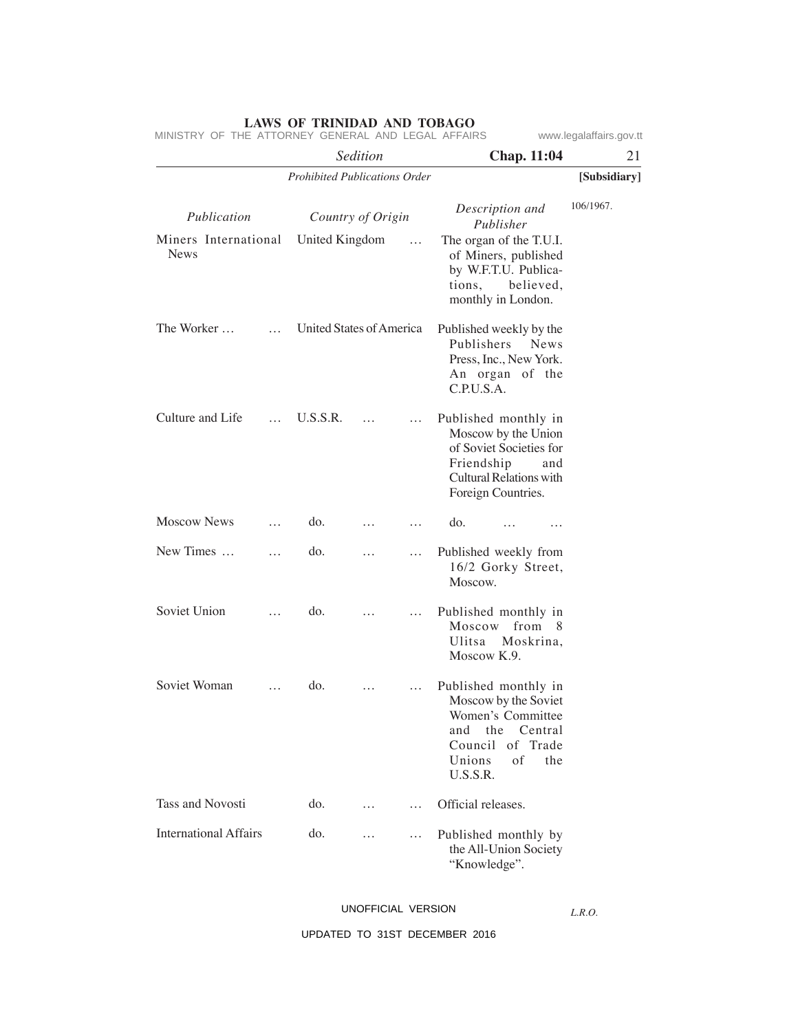*Sedition* **Chap. 11:04** 21 *Prohibited Publications Order* **[Subsidiary]** 106/1967. *Publication Country of Origin Description and Publisher* Miners International United Kingdom … News The Worker … … Culture and Life … Moscow News … New Times … … Soviet Union … Soviet Woman … Tass and Novosti International Affairs United States of America U.S.S.R. … … do. … … do. … … do. … … do. … … do. … … do. … … The organ of the T.U.I. of Miners, published by W.F.T.U. Publications, believed, monthly in London. Published weekly by the Publishers News Press, Inc., New York. An organ of the C.P.U.S.A. Published monthly in Moscow by the Union of Soviet Societies for Friendship and Cultural Relations with Foreign Countries. do. … … Published weekly from 16/2 Gorky Street, Moscow. Published monthly in Moscow from 8 Ulitsa Moskrina, Moscow K.9. Published monthly in Moscow by the Soviet Women's Committee and the Central Council of Trade Unions of the U.S.S.R. Official releases. Published monthly by the All-Union Society "Knowledge". MINISTRY OF THE ATTORNEY GENERAL AND LEGAL AFFAIRS www.legalaffairs.gov.tt

UNOFFICIAL VERSION

*L.R.O.*